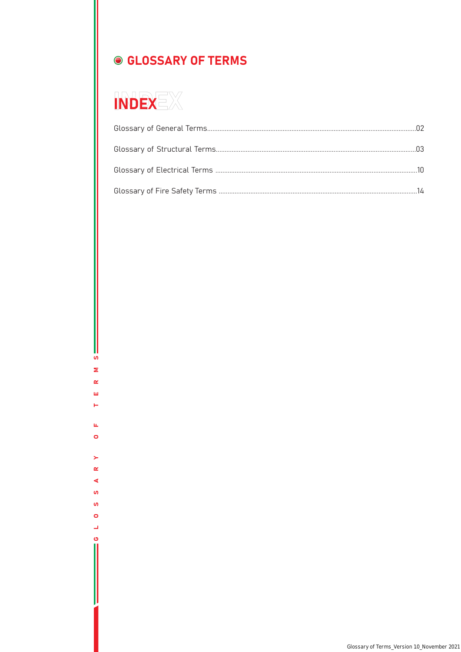# ● GLOSSARY OF TERMS



 ${\bf v}$  $\bar{\mathbf{z}}$  $\pmb{\underline{\alpha}}$  $\bar{\underline{\mathbf{u}}}$  $\leftarrow$ 

 $\mathbf{u}_i$  $\bullet$ 

 $\blacktriangleright$  $\pmb{\alpha}$  $\blacktriangleleft$  $\pmb{\mathsf{w}}$  $\mathbf{v}$  $\bullet$  $\overline{\phantom{a}}$  $\ddot{\mathbf{c}}$ 

Glossary of Terms\_Version 1.0\_November 2021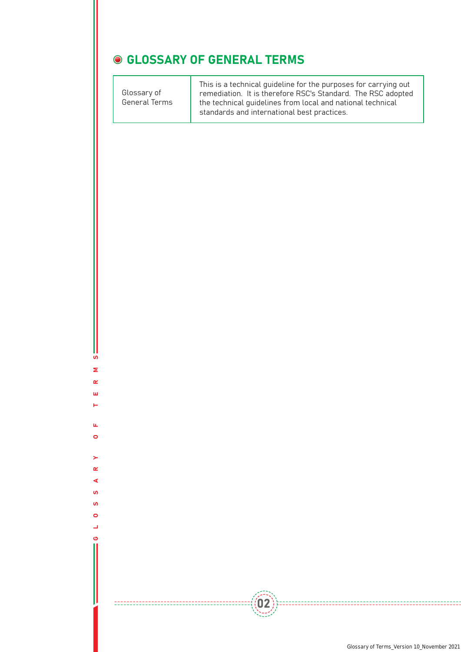#### **GLOSSARY OF GENERAL TERMS**

This is a technical guideline for the purposes for carrying out remediation. It is therefore RSC's Standard. The RSC adopted the technical guidelines from local and national technical standards and international best practices. Glossary of General Terms

 $((02))$ 

**SV** GLOSSARY OF TERMS  $\mathbf{z}$  $\alpha$ Ш

 $\overline{\phantom{a}}$ 

 $\mathbf{u}_i$  $\bullet$ 

 $\sim$  $\alpha$ ∢  $\mathbf{u}$ **S**  $\bullet$ پ ര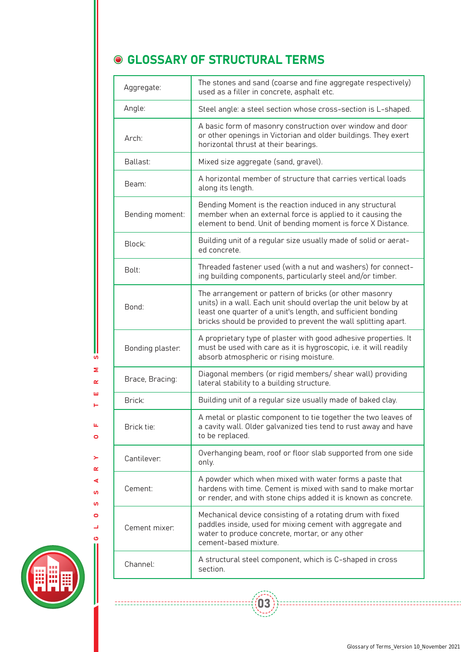### **GLOSSARY OF STRUCTURAL TERMS**

| Aggregate:       | The stones and sand (coarse and fine aggregate respectively)<br>used as a filler in concrete, asphalt etc.                                                                                                                                                  |
|------------------|-------------------------------------------------------------------------------------------------------------------------------------------------------------------------------------------------------------------------------------------------------------|
| Angle:           | Steel angle: a steel section whose cross-section is L-shaped.                                                                                                                                                                                               |
| Arch:            | A basic form of masonry construction over window and door<br>or other openings in Victorian and older buildings. They exert<br>horizontal thrust at their bearings.                                                                                         |
| Ballast:         | Mixed size aggregate (sand, gravel).                                                                                                                                                                                                                        |
| Beam:            | A horizontal member of structure that carries vertical loads<br>along its length.                                                                                                                                                                           |
| Bending moment:  | Bending Moment is the reaction induced in any structural<br>member when an external force is applied to it causing the<br>element to bend. Unit of bending moment is force X Distance.                                                                      |
| Block:           | Building unit of a regular size usually made of solid or aerat-<br>ed concrete.                                                                                                                                                                             |
| Bolt:            | Threaded fastener used (with a nut and washers) for connect-<br>ing building components, particularly steel and/or timber.                                                                                                                                  |
| Bond:            | The arrangement or pattern of bricks (or other masonry<br>units) in a wall. Each unit should overlap the unit below by at<br>least one quarter of a unit's length, and sufficient bonding<br>bricks should be provided to prevent the wall splitting apart. |
| Bonding plaster: | A proprietary type of plaster with good adhesive properties. It<br>must be used with care as it is hygroscopic, i.e. it will readily<br>absorb atmospheric or rising moisture.                                                                              |
| Brace, Bracing:  | Diagonal members (or rigid members/ shear wall) providing<br>lateral stability to a building structure.                                                                                                                                                     |
| Brick:           | Building unit of a regular size usually made of baked clay.                                                                                                                                                                                                 |
| Brick tie:       | A metal or plastic component to tie together the two leaves of<br>a cavity wall. Older galvanized ties tend to rust away and have<br>to be replaced.                                                                                                        |
| Cantilever:      | Overhanging beam, roof or floor slab supported from one side<br>only.                                                                                                                                                                                       |
| Cement:          | A powder which when mixed with water forms a paste that<br>hardens with time. Cement is mixed with sand to make mortar<br>or render, and with stone chips added it is known as concrete.                                                                    |
| Cement mixer:    | Mechanical device consisting of a rotating drum with fixed<br>paddles inside, used for mixing cement with aggregate and<br>water to produce concrete, mortar, or any other<br>cement-based mixture.                                                         |
| Channel:         | A structural steel component, which is C-shaped in cross<br>section.                                                                                                                                                                                        |

 $($ (03))



 ${\bf u}$ Σ  $\pmb{\alpha}$  $\bar{\mathbf{u}}$ н

 $\mathbf{u}_i$  $\bullet$ 

 $\overline{\phantom{0}}$  $\underline{\alpha}$  $\triangleleft$ **i u**  $\bullet$ پ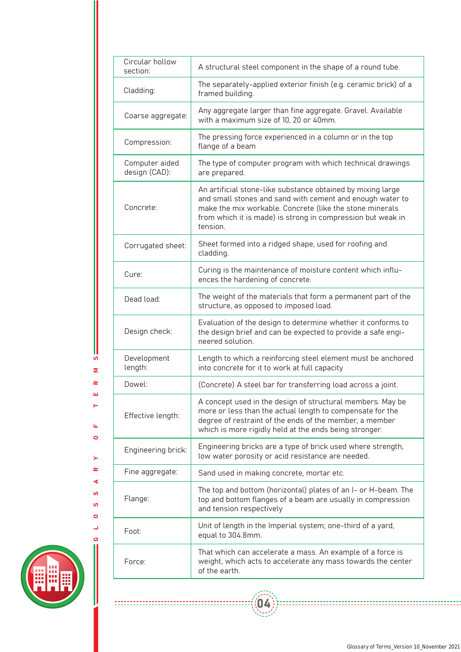| Circular hollow<br>section:     | A structural steel component in the shape of a round tube.                                                                                                                                                                                                      |
|---------------------------------|-----------------------------------------------------------------------------------------------------------------------------------------------------------------------------------------------------------------------------------------------------------------|
| Cladding:                       | The separately-applied exterior finish (e.g. ceramic brick) of a<br>framed building.                                                                                                                                                                            |
| Coarse aggregate:               | Any aggregate larger than fine aggregate. Gravel. Available<br>with a maximum size of 10, 20 or 40mm.                                                                                                                                                           |
| Compression:                    | The pressing force experienced in a column or in the top<br>flange of a beam                                                                                                                                                                                    |
| Computer aided<br>design (CAD): | The type of computer program with which technical drawings<br>are prepared.                                                                                                                                                                                     |
| Concrete:                       | An artificial stone-like substance obtained by mixing large<br>and small stones and sand with cement and enough water to<br>make the mix workable. Concrete (like the stone minerals<br>from which it is made) is strong in compression but weak in<br>tension. |
| Corrugated sheet:               | Sheet formed into a ridged shape, used for roofing and<br>cladding.                                                                                                                                                                                             |
| Cure:                           | Curing is the maintenance of moisture content which influ-<br>ences the hardening of concrete.                                                                                                                                                                  |
| Dead load:                      | The weight of the materials that form a permanent part of the<br>structure, as opposed to imposed load.                                                                                                                                                         |
| Design check:                   | Evaluation of the design to determine whether it conforms to<br>the design brief and can be expected to provide a safe engi-<br>neered solution.                                                                                                                |
| Development<br>length:          | Length to which a reinforcing steel element must be anchored<br>into concrete for it to work at full capacity                                                                                                                                                   |
| Dowel:                          | (Concrete) A steel bar for transferring load across a joint.                                                                                                                                                                                                    |
| Effective length:               | A concept used in the design of structural members. May be<br>more or less than the actual length to compensate for the<br>degree of restraint of the ends of the member, a member<br>which is more rigidly held at the ends being stronger.                    |
| Engineering brick:              | Engineering bricks are a type of brick used where strength,<br>low water porosity or acid resistance are needed.                                                                                                                                                |
| Fine aggregate:                 | Sand used in making concrete, mortar etc.                                                                                                                                                                                                                       |
| Flange:                         | The top and bottom (horizontal) plates of an I- or H-beam. The<br>top and bottom flanges of a beam are usually in compression<br>and tension respectively                                                                                                       |
| Foot:                           | Unit of length in the Imperial system; one-third of a yard,<br>equal to 304.8mm.                                                                                                                                                                                |
| Force:                          | That which can accelerate a mass. An example of a force is<br>weight, which acts to accelerate any mass towards the center<br>of the earth.                                                                                                                     |

 $\left(\begin{matrix} 0 & 1 \\ 0 & 0 \end{matrix}\right)$ 



L  $\overline{u}$  $\bar{\mathbf{z}}$  $\alpha$  $\bar{\omega}$  $\vdash$ 

 $\mathbf{u}$  $\bullet$ 

 $\geq$  $\alpha$  $\blacktriangleleft$  $\mathbf{u}$  $\mathbf{v}$  $\circ$  $\overline{\phantom{a}}$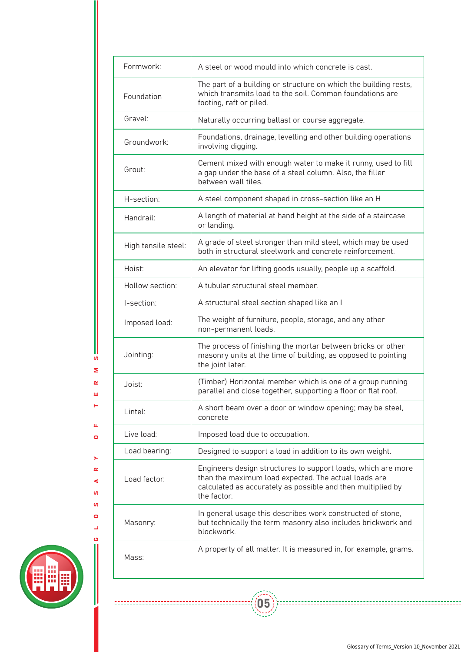| Formwork:           | A steel or wood mould into which concrete is cast.                                                                                                                                                 |
|---------------------|----------------------------------------------------------------------------------------------------------------------------------------------------------------------------------------------------|
| Foundation          | The part of a building or structure on which the building rests,<br>which transmits load to the soil. Common foundations are<br>footing, raft or piled.                                            |
| Gravel:             | Naturally occurring ballast or course aggregate.                                                                                                                                                   |
| Groundwork:         | Foundations, drainage, levelling and other building operations<br>involving digging.                                                                                                               |
| Grout:              | Cement mixed with enough water to make it runny, used to fill<br>a gap under the base of a steel column. Also, the filler<br>between wall tiles.                                                   |
| H-section:          | A steel component shaped in cross-section like an H                                                                                                                                                |
| Handrail:           | A length of material at hand height at the side of a staircase<br>or landing.                                                                                                                      |
| High tensile steel: | A grade of steel stronger than mild steel, which may be used<br>both in structural steelwork and concrete reinforcement.                                                                           |
| Hoist:              | An elevator for lifting goods usually, people up a scaffold.                                                                                                                                       |
| Hollow section:     | A tubular structural steel member.                                                                                                                                                                 |
| I-section:          | A structural steel section shaped like an I                                                                                                                                                        |
| Imposed load:       | The weight of furniture, people, storage, and any other<br>non-permanent loads.                                                                                                                    |
| Jointing:           | The process of finishing the mortar between bricks or other<br>masonry units at the time of building, as opposed to pointing<br>the joint later.                                                   |
| Joist:              | (Timber) Horizontal member which is one of a group running<br>parallel and close together, supporting a floor or flat roof.                                                                        |
| Lintel:             | A short beam over a door or window opening; may be steel,<br>concrete                                                                                                                              |
| Live load:          | Imposed load due to occupation.                                                                                                                                                                    |
| Load bearing:       | Designed to support a load in addition to its own weight.                                                                                                                                          |
| Load factor:        | Engineers design structures to support loads, which are more<br>than the maximum load expected. The actual loads are<br>calculated as accurately as possible and then multiplied by<br>the factor. |
| Masonry.            | In general usage this describes work constructed of stone,<br>but technically the term masonry also includes brickwork and<br>blockwork.                                                           |
| Mass:               | A property of all matter. It is measured in, for example, grams.                                                                                                                                   |



GLOSSARY OF TERMS

 $\geq$  $\alpha$  $\blacktriangleleft$  $\mathbf{v}$  $\mathbf{v}$  $\bullet$  $\overline{\phantom{a}}$ 

 $\mathbf{u}_i$  $\bullet$ 

Ш  ${\bf u}$  $\mathbf{z}$  $\alpha$  $\bar{\underline{\mathbf{u}}}$  $\vdash$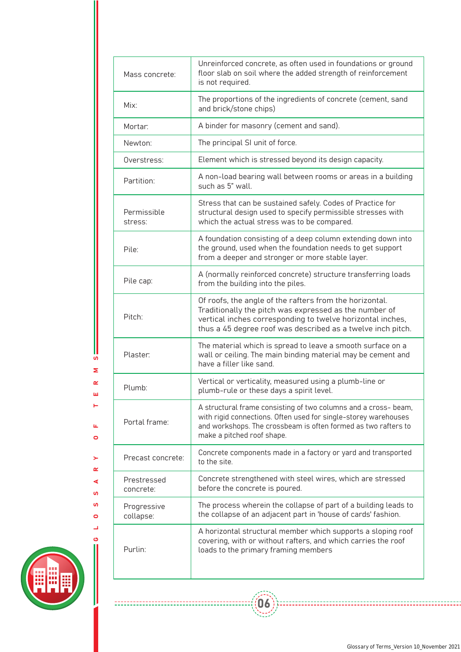| Mass concrete:           | Unreinforced concrete, as often used in foundations or ground<br>floor slab on soil where the added strength of reinforcement<br>is not required.                                                                                              |
|--------------------------|------------------------------------------------------------------------------------------------------------------------------------------------------------------------------------------------------------------------------------------------|
| Mix:                     | The proportions of the ingredients of concrete (cement, sand<br>and brick/stone chips)                                                                                                                                                         |
| Mortar:                  | A binder for masonry (cement and sand).                                                                                                                                                                                                        |
| Newton:                  | The principal SI unit of force.                                                                                                                                                                                                                |
| Overstress:              | Element which is stressed beyond its design capacity.                                                                                                                                                                                          |
| Partition:               | A non-load bearing wall between rooms or areas in a building<br>such as 5" wall.                                                                                                                                                               |
| Permissible<br>stress:   | Stress that can be sustained safely. Codes of Practice for<br>structural design used to specify permissible stresses with<br>which the actual stress was to be compared.                                                                       |
| Pile:                    | A foundation consisting of a deep column extending down into<br>the ground, used when the foundation needs to get support<br>from a deeper and stronger or more stable layer.                                                                  |
| Pile cap:                | A (normally reinforced concrete) structure transferring loads<br>from the building into the piles.                                                                                                                                             |
| Pitch:                   | Of roofs, the angle of the rafters from the horizontal.<br>Traditionally the pitch was expressed as the number of<br>vertical inches corresponding to twelve horizontal inches,<br>thus a 45 degree roof was described as a twelve inch pitch. |
| Plaster:                 | The material which is spread to leave a smooth surface on a<br>wall or ceiling. The main binding material may be cement and<br>have a filler like sand.                                                                                        |
| Plumb:                   | Vertical or verticality, measured using a plumb-line or<br>plumb-rule or these days a spirit level.                                                                                                                                            |
| Portal frame:            | A structural frame consisting of two columns and a cross- beam,<br>with rigid connections. Often used for single-storey warehouses<br>and workshops. The crossbeam is often formed as two rafters to<br>make a pitched roof shape.             |
| Precast concrete:        | Concrete components made in a factory or yard and transported<br>to the site.                                                                                                                                                                  |
| Prestressed<br>concrete: | Concrete strengthened with steel wires, which are stressed<br>before the concrete is poured.                                                                                                                                                   |
| Progressive<br>collapse: | The process wherein the collapse of part of a building leads to<br>the collapse of an adjacent part in 'house of cards' fashion.                                                                                                               |
| Purlin:                  | A horizontal structural member which supports a sloping roof<br>covering, with or without rafters, and which carries the roof<br>loads to the primary framing members                                                                          |

 $\left(\begin{matrix} 0 & 0 \\ 0 & 0 \end{matrix}\right)$ 



L  $\overline{u}$ Σ  $\alpha$  $\mathbf{u}$  $\vdash$ 

 $\mathbf{u}$  $\bullet$ 

 $\blacktriangleright$  $\alpha$ ∢  $\mathbf{u}$  $\mathbf{v}$  $\circ$  $\overline{\phantom{a}}$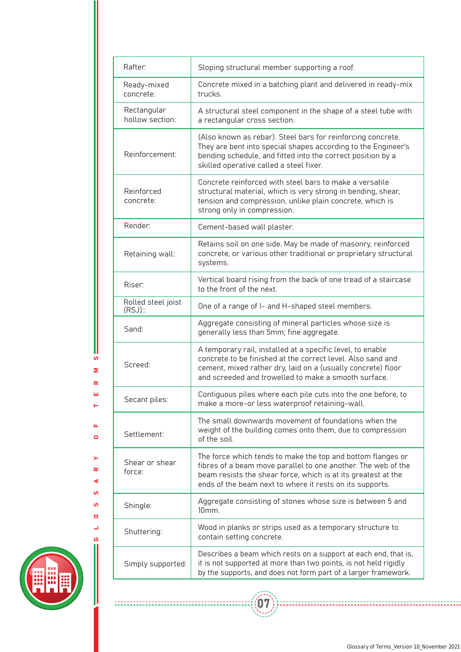| Rafter:                          | Sloping structural member supporting a roof.                                                                                                                                                                                                              |
|----------------------------------|-----------------------------------------------------------------------------------------------------------------------------------------------------------------------------------------------------------------------------------------------------------|
| Ready-mixed<br>concrete:         | Concrete mixed in a batching plant and delivered in ready-mix<br>trucks.                                                                                                                                                                                  |
| Rectangular<br>hollow section:   | A structural steel component in the shape of a steel tube with<br>a rectangular cross section.                                                                                                                                                            |
| Reinforcement:                   | (Also known as rebar). Steel bars for reinforcing concrete.<br>They are bent into special shapes according to the Engineer's<br>bending schedule, and fitted into the correct position by a<br>skilled operative called a steel fixer.                    |
| Reinforced<br>concrete:          | Concrete reinforced with steel bars to make a versatile<br>structural material, which is very strong in bending, shear,<br>tension and compression, unlike plain concrete, which is<br>strong only in compression.                                        |
| Render:                          | Cement-based wall plaster.                                                                                                                                                                                                                                |
| Retaining wall:                  | Retains soil on one side. May be made of masonry, reinforced<br>concrete, or various other traditional or proprietary structural<br>systems.                                                                                                              |
| Riser:                           | Vertical board rising from the back of one tread of a staircase<br>to the front of the next.                                                                                                                                                              |
| Rolled steel joist<br>$(RSJ)$ :: | One of a range of I- and H-shaped steel members.                                                                                                                                                                                                          |
| Sand:                            | Aggregate consisting of mineral particles whose size is<br>generally less than 5mm; fine aggregate.                                                                                                                                                       |
| Screed:                          | A temporary rail, installed at a specific level, to enable<br>concrete to be finished at the correct level. Also sand and<br>cement, mixed rather dry, laid on a (usually concrete) floor<br>and screeded and trowelled to make a smooth surface.         |
| Secant piles:                    | Contiguous piles where each pile cuts into the one before, to<br>make a more-or less waterproof retaining-wall.                                                                                                                                           |
| Settlement:                      | The small downwards movement of foundations when the<br>weight of the building comes onto them, due to compression<br>of the soil.                                                                                                                        |
| Shear or shear<br>force:         | The force which tends to make the top and bottom flanges or<br>fibres of a beam move parallel to one another. The web of the<br>beam resists the shear force, which is at its greatest at the<br>ends of the beam next to where it rests on its supports. |
| Shingle:                         | Aggregate consisting of stones whose size is between 5 and<br>10 <sub>mm</sub> .                                                                                                                                                                          |
| Shuttering:                      | Wood in planks or strips used as a temporary structure to<br>contain setting concrete.                                                                                                                                                                    |
| Simply supported:                | Describes a beam which rests on a support at each end, that is,<br>it is not supported at more than two points, is not held rigidly<br>by the supports, and does not form part of a larger framework.                                                     |

 $\left(\begin{matrix} \boxed{\mathbf{0}} \\ \end{matrix}\right)$ 



GLOSSARY OF TERMS

 $\geq$  $\alpha$  $\triangleleft$  $\mathbf{v}$  $\mathbf{v}$  $\bullet$  $\overline{\phantom{a}}$  $\ddot{\mathbf{c}}$ 

---------------------------------

 $\mathbf{u}$  $\bullet$ 

Ш  ${\bf u}$  $\bar{\mathbf{z}}$  $\alpha$  $\bar{\mathbf{u}}$  $\vdash$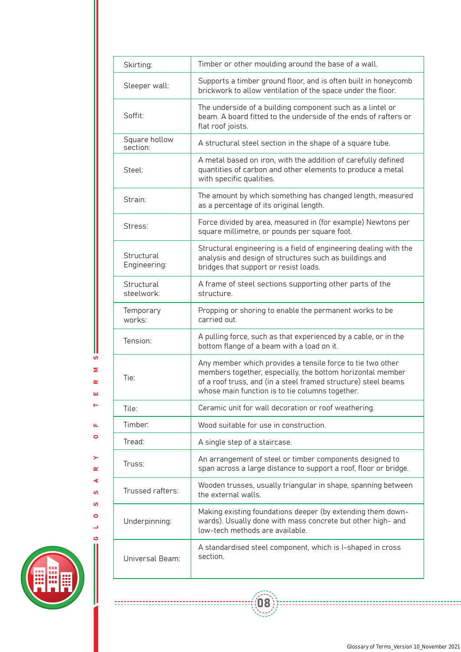| Skirting:                  | Timber or other moulding around the base of a wall.                                                                                                                                                                                           |
|----------------------------|-----------------------------------------------------------------------------------------------------------------------------------------------------------------------------------------------------------------------------------------------|
| Sleeper wall:              | Supports a timber ground floor, and is often built in honeycomb<br>brickwork to allow ventilation of the space under the floor.                                                                                                               |
| Soffit:                    | The underside of a building component such as a lintel or<br>beam. A board fitted to the underside of the ends of rafters or<br>flat roof joists.                                                                                             |
| Square hollow<br>section:  | A structural steel section in the shape of a square tube.                                                                                                                                                                                     |
| Steel:                     | A metal based on iron, with the addition of carefully defined<br>quantities of carbon and other elements to produce a metal<br>with specific qualities.                                                                                       |
| Strain:                    | The amount by which something has changed length, measured<br>as a percentage of its original length.                                                                                                                                         |
| Stress:                    | Force divided by area, measured in (for example) Newtons per<br>square millimetre, or pounds per square foot.                                                                                                                                 |
| Structural<br>Engineering: | Structural engineering is a field of engineering dealing with the<br>analysis and design of structures such as buildings and<br>bridges that support or resist loads.                                                                         |
| Structural<br>steelwork:   | A frame of steel sections supporting other parts of the<br>structure.                                                                                                                                                                         |
| Temporary<br>works:        | Propping or shoring to enable the permanent works to be<br>carried out.                                                                                                                                                                       |
| Tension:                   | A pulling force, such as that experienced by a cable, or in the<br>bottom flange of a beam with a load on it.                                                                                                                                 |
| Tie:                       | Any member which provides a tensile force to tie two other<br>members together, especially, the bottom horizontal member<br>of a roof truss, and (in a steel framed structure) steel beams<br>whose main function is to tie columns together. |
| Tile:                      | Ceramic unit for wall decoration or roof weathering.                                                                                                                                                                                          |
| Timber:                    | Wood suitable for use in construction.                                                                                                                                                                                                        |
| Tread:                     | A single step of a staircase.                                                                                                                                                                                                                 |
| Truss:                     | An arrangement of steel or timber components designed to<br>span across a large distance to support a roof, floor or bridge.                                                                                                                  |
| Trussed rafters:           | Wooden trusses, usually triangular in shape, spanning between<br>the external walls.                                                                                                                                                          |
| Underpinning:              | Making existing foundations deeper (by extending them down-<br>wards). Usually done with mass concrete but other high- and<br>low-tech methods are available.                                                                                 |
| Universal Beam:            | A standardised steel component, which is I-shaped in cross<br>section.                                                                                                                                                                        |



GLOSSARY OF TERMS

 $\mathbf{r}$  $\alpha$  $\blacktriangleleft$ **i**  $\mathbf{v}$  $\bullet$  $\overline{\phantom{a}}$ 

 $\bar{\mathbf{u}}$  $\bullet$ 

U **u**  $\bar{\mathbf{z}}$  $\alpha$  $\bar{\mathbf{u}}$  $\leftarrow$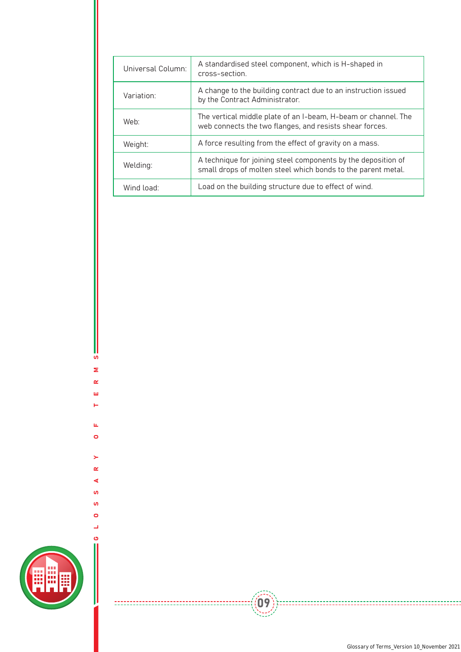| Universal Column: | A standardised steel component, which is H-shaped in<br>cross-section.                                                        |
|-------------------|-------------------------------------------------------------------------------------------------------------------------------|
| Variation:        | A change to the building contract due to an instruction issued<br>by the Contract Administrator.                              |
| Web:              | The vertical middle plate of an I-beam, H-beam or channel. The<br>web connects the two flanges, and resists shear forces.     |
| Weight:           | A force resulting from the effect of gravity on a mass.                                                                       |
| Welding:          | A technique for joining steel components by the deposition of<br>small drops of molten steel which bonds to the parent metal. |
| Wind load:        | Load on the building structure due to effect of wind.                                                                         |

 $\left(\begin{matrix} 0 & 0 \\ 0 & 0 \end{matrix}\right)$ 



GLOSSARY OF TERMS

 $\geq$  $\pmb{\alpha}$  $\triangleleft$ **i**  $\mathbf{v}$  $\bullet$  $\Box$ ්

 $\mathbf{u}_i$  $\bullet$ 

S  $\mathbf{z}$  $\pmb{\alpha}$  $\bar{\underline{\mathsf{u}}}$  $\vdash$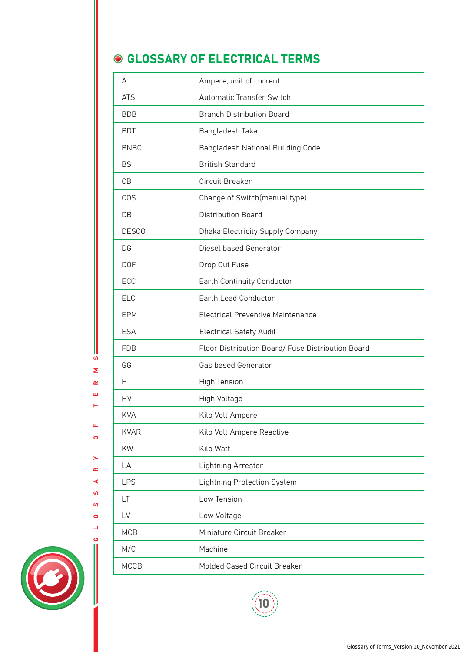### **GLOSSARY OF ELECTRICAL TERMS**

| A            | Ampere, unit of current                           |
|--------------|---------------------------------------------------|
| <b>ATS</b>   | Automatic Transfer Switch                         |
| <b>BDB</b>   | <b>Branch Distribution Board</b>                  |
| <b>BDT</b>   | Bangladesh Taka                                   |
| <b>BNBC</b>  | Bangladesh National Building Code                 |
| <b>BS</b>    | <b>British Standard</b>                           |
| CB           | Circuit Breaker                                   |
| <b>COS</b>   | Change of Switch(manual type)                     |
| DB           | <b>Distribution Board</b>                         |
| <b>DESCO</b> | Dhaka Electricity Supply Company                  |
| DG           | Diesel based Generator                            |
| <b>DOF</b>   | Drop Out Fuse                                     |
| ECC          | Earth Continuity Conductor                        |
| <b>ELC</b>   | Earth Lead Conductor                              |
| <b>EPM</b>   | Electrical Preventive Maintenance                 |
| <b>ESA</b>   | <b>Electrical Safety Audit</b>                    |
| <b>FDB</b>   | Floor Distribution Board/ Fuse Distribution Board |
| GG           | Gas based Generator                               |
| НT           | <b>High Tension</b>                               |
| HV           | High Voltage                                      |
| <b>KVA</b>   | Kilo Volt Ampere                                  |
| <b>KVAR</b>  | Kilo Volt Ampere Reactive                         |
| KW           | Kilo Watt                                         |
| LA           | Lightning Arrestor                                |
| LPS          | <b>Lightning Protection System</b>                |
| LT.          | Low Tension                                       |
| LV           | Low Voltage                                       |
| <b>MCB</b>   | Miniature Circuit Breaker                         |
| M/C          | Machine                                           |
| <b>MCCB</b>  | Molded Cased Circuit Breaker                      |

 $\langle \langle 10$ 



GLOSSARY OF TERMS

 $\mathbf{r}$  $\alpha$  $\blacktriangleleft$ **i**  $\overline{a}$  $\bullet$ Δ

-------------------------

 $\mathbf{u}$  $\bullet$ 

**u** Σ  $\alpha$  $\bar{\mathbf{u}}$  $\vdash$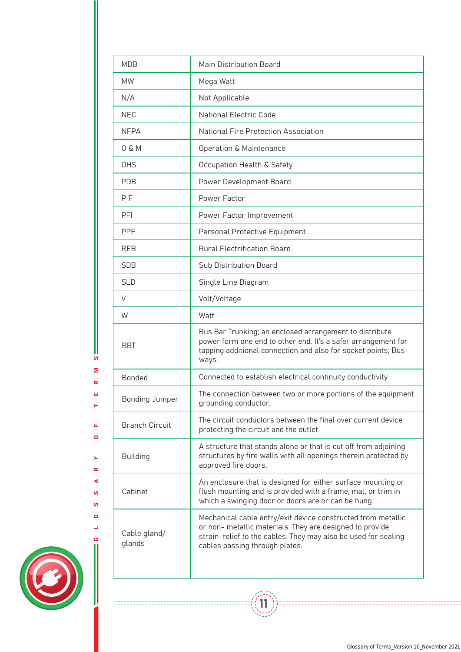| <b>MDB</b><br><b>Main Distribution Board</b><br><b>MW</b><br>Mega Watt<br>N/A<br>Not Applicable<br><b>NEC</b><br><b>National Electric Code</b><br>National Fire Protection Association<br><b>NFPA</b><br>0 & M<br>Operation & Maintenance<br><b>OHS</b><br>Occupation Health & Safety<br><b>PDB</b><br>Power Development Board<br>Power Factor<br>P F<br><b>PFI</b><br>Power Factor Improvement<br><b>PPE</b><br>Personal Protective Equipment<br><b>Rural Electrification Board</b><br><b>REB</b><br>Sub Distribution Board<br><b>SDB</b><br><b>SLD</b><br>Single Line Diagram<br>Volt/Voltage<br>V<br>Watt<br>W<br>Bus Bar Trunking; an enclosed arrangement to distribute<br>power form one end to other end. It's a safer arrangement for<br><b>BBT</b><br>tapping additional connection and also for socket points; Bus<br>ways.<br>Connected to establish electrical continuity conductivity.<br><b>Bonded</b><br>The connection between two or more portions of the equipment<br>Bonding Jumper<br>grounding conductor.<br>The circuit conductors between the final over current device<br><b>Branch Circuit</b><br>protecting the circuit and the outlet<br>A structure that stands alone or that is cut off from adjoining<br>structures by fire walls with all openings therein protected by<br><b>Building</b><br>approved fire doors.<br>An enclosure that is designed for either surface mounting or<br>flush mounting and is provided with a frame, mat, or trim in<br>Cabinet<br>which a swinging door or doors are or can be hung.<br>Mechanical cable entry/exit device constructed from metallic<br>or non- metallic materials. They are designed to provide<br>Cable gland/<br>strain-relief to the cables. They may also be used for sealing<br>glands<br>cables passing through plates. |  |
|--------------------------------------------------------------------------------------------------------------------------------------------------------------------------------------------------------------------------------------------------------------------------------------------------------------------------------------------------------------------------------------------------------------------------------------------------------------------------------------------------------------------------------------------------------------------------------------------------------------------------------------------------------------------------------------------------------------------------------------------------------------------------------------------------------------------------------------------------------------------------------------------------------------------------------------------------------------------------------------------------------------------------------------------------------------------------------------------------------------------------------------------------------------------------------------------------------------------------------------------------------------------------------------------------------------------------------------------------------------------------------------------------------------------------------------------------------------------------------------------------------------------------------------------------------------------------------------------------------------------------------------------------------------------------------------------------------------------------------------------------------------------------------------------------------------|--|
|                                                                                                                                                                                                                                                                                                                                                                                                                                                                                                                                                                                                                                                                                                                                                                                                                                                                                                                                                                                                                                                                                                                                                                                                                                                                                                                                                                                                                                                                                                                                                                                                                                                                                                                                                                                                              |  |
|                                                                                                                                                                                                                                                                                                                                                                                                                                                                                                                                                                                                                                                                                                                                                                                                                                                                                                                                                                                                                                                                                                                                                                                                                                                                                                                                                                                                                                                                                                                                                                                                                                                                                                                                                                                                              |  |
|                                                                                                                                                                                                                                                                                                                                                                                                                                                                                                                                                                                                                                                                                                                                                                                                                                                                                                                                                                                                                                                                                                                                                                                                                                                                                                                                                                                                                                                                                                                                                                                                                                                                                                                                                                                                              |  |
|                                                                                                                                                                                                                                                                                                                                                                                                                                                                                                                                                                                                                                                                                                                                                                                                                                                                                                                                                                                                                                                                                                                                                                                                                                                                                                                                                                                                                                                                                                                                                                                                                                                                                                                                                                                                              |  |
|                                                                                                                                                                                                                                                                                                                                                                                                                                                                                                                                                                                                                                                                                                                                                                                                                                                                                                                                                                                                                                                                                                                                                                                                                                                                                                                                                                                                                                                                                                                                                                                                                                                                                                                                                                                                              |  |
|                                                                                                                                                                                                                                                                                                                                                                                                                                                                                                                                                                                                                                                                                                                                                                                                                                                                                                                                                                                                                                                                                                                                                                                                                                                                                                                                                                                                                                                                                                                                                                                                                                                                                                                                                                                                              |  |
|                                                                                                                                                                                                                                                                                                                                                                                                                                                                                                                                                                                                                                                                                                                                                                                                                                                                                                                                                                                                                                                                                                                                                                                                                                                                                                                                                                                                                                                                                                                                                                                                                                                                                                                                                                                                              |  |
|                                                                                                                                                                                                                                                                                                                                                                                                                                                                                                                                                                                                                                                                                                                                                                                                                                                                                                                                                                                                                                                                                                                                                                                                                                                                                                                                                                                                                                                                                                                                                                                                                                                                                                                                                                                                              |  |
|                                                                                                                                                                                                                                                                                                                                                                                                                                                                                                                                                                                                                                                                                                                                                                                                                                                                                                                                                                                                                                                                                                                                                                                                                                                                                                                                                                                                                                                                                                                                                                                                                                                                                                                                                                                                              |  |
|                                                                                                                                                                                                                                                                                                                                                                                                                                                                                                                                                                                                                                                                                                                                                                                                                                                                                                                                                                                                                                                                                                                                                                                                                                                                                                                                                                                                                                                                                                                                                                                                                                                                                                                                                                                                              |  |
|                                                                                                                                                                                                                                                                                                                                                                                                                                                                                                                                                                                                                                                                                                                                                                                                                                                                                                                                                                                                                                                                                                                                                                                                                                                                                                                                                                                                                                                                                                                                                                                                                                                                                                                                                                                                              |  |
|                                                                                                                                                                                                                                                                                                                                                                                                                                                                                                                                                                                                                                                                                                                                                                                                                                                                                                                                                                                                                                                                                                                                                                                                                                                                                                                                                                                                                                                                                                                                                                                                                                                                                                                                                                                                              |  |
|                                                                                                                                                                                                                                                                                                                                                                                                                                                                                                                                                                                                                                                                                                                                                                                                                                                                                                                                                                                                                                                                                                                                                                                                                                                                                                                                                                                                                                                                                                                                                                                                                                                                                                                                                                                                              |  |
|                                                                                                                                                                                                                                                                                                                                                                                                                                                                                                                                                                                                                                                                                                                                                                                                                                                                                                                                                                                                                                                                                                                                                                                                                                                                                                                                                                                                                                                                                                                                                                                                                                                                                                                                                                                                              |  |
|                                                                                                                                                                                                                                                                                                                                                                                                                                                                                                                                                                                                                                                                                                                                                                                                                                                                                                                                                                                                                                                                                                                                                                                                                                                                                                                                                                                                                                                                                                                                                                                                                                                                                                                                                                                                              |  |
|                                                                                                                                                                                                                                                                                                                                                                                                                                                                                                                                                                                                                                                                                                                                                                                                                                                                                                                                                                                                                                                                                                                                                                                                                                                                                                                                                                                                                                                                                                                                                                                                                                                                                                                                                                                                              |  |
|                                                                                                                                                                                                                                                                                                                                                                                                                                                                                                                                                                                                                                                                                                                                                                                                                                                                                                                                                                                                                                                                                                                                                                                                                                                                                                                                                                                                                                                                                                                                                                                                                                                                                                                                                                                                              |  |
|                                                                                                                                                                                                                                                                                                                                                                                                                                                                                                                                                                                                                                                                                                                                                                                                                                                                                                                                                                                                                                                                                                                                                                                                                                                                                                                                                                                                                                                                                                                                                                                                                                                                                                                                                                                                              |  |
|                                                                                                                                                                                                                                                                                                                                                                                                                                                                                                                                                                                                                                                                                                                                                                                                                                                                                                                                                                                                                                                                                                                                                                                                                                                                                                                                                                                                                                                                                                                                                                                                                                                                                                                                                                                                              |  |
|                                                                                                                                                                                                                                                                                                                                                                                                                                                                                                                                                                                                                                                                                                                                                                                                                                                                                                                                                                                                                                                                                                                                                                                                                                                                                                                                                                                                                                                                                                                                                                                                                                                                                                                                                                                                              |  |
|                                                                                                                                                                                                                                                                                                                                                                                                                                                                                                                                                                                                                                                                                                                                                                                                                                                                                                                                                                                                                                                                                                                                                                                                                                                                                                                                                                                                                                                                                                                                                                                                                                                                                                                                                                                                              |  |
|                                                                                                                                                                                                                                                                                                                                                                                                                                                                                                                                                                                                                                                                                                                                                                                                                                                                                                                                                                                                                                                                                                                                                                                                                                                                                                                                                                                                                                                                                                                                                                                                                                                                                                                                                                                                              |  |
|                                                                                                                                                                                                                                                                                                                                                                                                                                                                                                                                                                                                                                                                                                                                                                                                                                                                                                                                                                                                                                                                                                                                                                                                                                                                                                                                                                                                                                                                                                                                                                                                                                                                                                                                                                                                              |  |

 $\left(\begin{matrix} 1 \\ 1 \end{matrix}\right)$ 



GLOSSARY OF TERMS

 $\geq$  $\pmb{\underline{\alpha}}$  $\blacktriangleleft$ **i**  $\mathbf{u}$  $\bullet$  $\Box$ 

 $\mathbf{u}_i$  $\bullet$ 

Ш  ${\bf u}$  $\mathbf{z}$  $\alpha$  $\bar{\underline{\mathbf{u}}}$  $\vdash$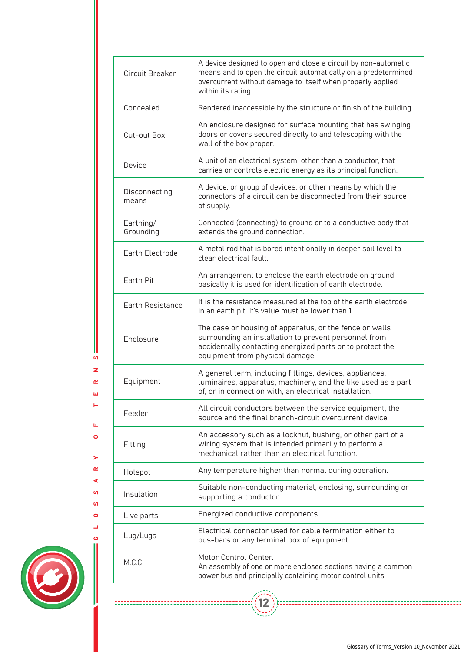| Circuit Breaker        | A device designed to open and close a circuit by non-automatic<br>means and to open the circuit automatically on a predetermined<br>overcurrent without damage to itself when properly applied<br>within its rating. |
|------------------------|----------------------------------------------------------------------------------------------------------------------------------------------------------------------------------------------------------------------|
| Concealed              | Rendered inaccessible by the structure or finish of the building.                                                                                                                                                    |
| Cut-out Box            | An enclosure designed for surface mounting that has swinging<br>doors or covers secured directly to and telescoping with the<br>wall of the box proper.                                                              |
| Device                 | A unit of an electrical system, other than a conductor, that<br>carries or controls electric energy as its principal function.                                                                                       |
| Disconnecting<br>means | A device, or group of devices, or other means by which the<br>connectors of a circuit can be disconnected from their source<br>of supply.                                                                            |
| Earthing/<br>Grounding | Connected (connecting) to ground or to a conductive body that<br>extends the ground connection.                                                                                                                      |
| Earth Electrode        | A metal rod that is bored intentionally in deeper soil level to<br>clear electrical fault.                                                                                                                           |
| Earth Pit              | An arrangement to enclose the earth electrode on ground;<br>basically it is used for identification of earth electrode.                                                                                              |
| Earth Resistance       | It is the resistance measured at the top of the earth electrode<br>in an earth pit. It's value must be lower than 1.                                                                                                 |
| Enclosure              | The case or housing of apparatus, or the fence or walls<br>surrounding an installation to prevent personnel from<br>accidentally contacting energized parts or to protect the<br>equipment from physical damage.     |
| Equipment              | A general term, including fittings, devices, appliances,<br>luminaires, apparatus, machinery, and the like used as a part<br>of, or in connection with, an electrical installation.                                  |
| Feeder                 | All circuit conductors between the service equipment, the<br>source and the final branch-circuit overcurrent device.                                                                                                 |
| Fitting                | An accessory such as a locknut, bushing, or other part of a<br>wiring system that is intended primarily to perform a<br>mechanical rather than an electrical function.                                               |
| Hotspot                | Any temperature higher than normal during operation.                                                                                                                                                                 |
| Insulation             | Suitable non-conducting material, enclosing, surrounding or<br>supporting a conductor.                                                                                                                               |
| Live parts             | Energized conductive components.                                                                                                                                                                                     |
| Lug/Lugs               | Electrical connector used for cable termination either to<br>bus-bars or any terminal box of equipment.                                                                                                              |
| M.C.C                  | Motor Control Center.<br>An assembly of one or more enclosed sections having a common<br>power bus and principally containing motor control units.                                                                   |

 $\left(\begin{matrix} 12 \\ -2 \end{matrix}\right)$ 



GLOSSARY OF TERMS

 $\geq$  $\alpha$  $\blacktriangleleft$  $\mathbf{v}$ **i**  $\bullet$  $\overline{\phantom{a}}$ ය

-----------------------

 $\hat{\mathbf{u}}$  $\bullet$ 

**u**  $\bar{\mathbf{z}}$  $\alpha$  $\bar{\mathbf{u}}$  $\vdash$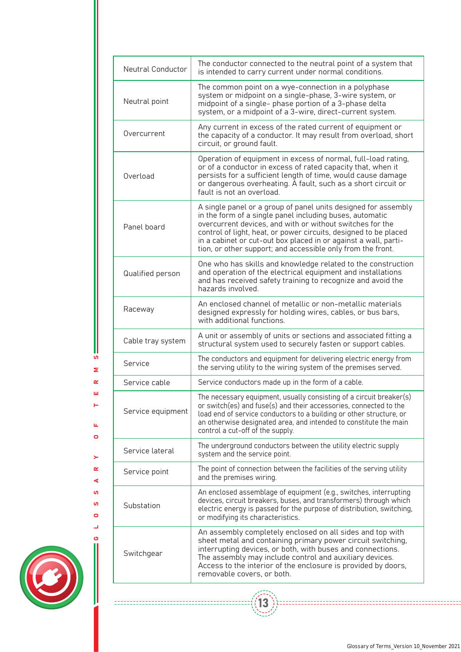| Neutral Conductor | The conductor connected to the neutral point of a system that<br>is intended to carry current under normal conditions.                                                                                                                                                                                                                                                                        |
|-------------------|-----------------------------------------------------------------------------------------------------------------------------------------------------------------------------------------------------------------------------------------------------------------------------------------------------------------------------------------------------------------------------------------------|
| Neutral point     | The common point on a wye-connection in a polyphase<br>system or midpoint on a single-phase, 3-wire system, or<br>midpoint of a single- phase portion of a 3-phase delta<br>system, or a midpoint of a 3-wire, direct-current system.                                                                                                                                                         |
| Overcurrent       | Any current in excess of the rated current of equipment or<br>the capacity of a conductor. It may result from overload, short<br>circuit, or ground fault.                                                                                                                                                                                                                                    |
| Overload          | Operation of equipment in excess of normal, full-load rating,<br>or of a conductor in excess of rated capacity that, when it<br>persists for a sufficient length of time, would cause damage<br>or dangerous overheating. A fault, such as a short circuit or<br>fault is not an overload.                                                                                                    |
| Panel board       | A single panel or a group of panel units designed for assembly<br>in the form of a single panel including buses, automatic<br>overcurrent devices, and with or without switches for the<br>control of light, heat, or power circuits, designed to be placed<br>in a cabinet or cut-out box placed in or against a wall, parti-<br>tion, or other support; and accessible only from the front. |
| Qualified person  | One who has skills and knowledge related to the construction<br>and operation of the electrical equipment and installations<br>and has received safety training to recognize and avoid the<br>hazards involved.                                                                                                                                                                               |
| Raceway           | An enclosed channel of metallic or non-metallic materials<br>designed expressly for holding wires, cables, or bus bars,<br>with additional functions.                                                                                                                                                                                                                                         |
| Cable tray system | A unit or assembly of units or sections and associated fitting a<br>structural system used to securely fasten or support cables.                                                                                                                                                                                                                                                              |
| Service           | The conductors and equipment for delivering electric energy from<br>the serving utility to the wiring system of the premises served.                                                                                                                                                                                                                                                          |
| Service cable     | Service conductors made up in the form of a cable.                                                                                                                                                                                                                                                                                                                                            |
| Service equipment | The necessary equipment, usually consisting of a circuit breaker(s)<br>or switch(es) and fuse(s) and their accessories, connected to the<br>load end of service conductors to a building or other structure, or<br>an otherwise designated area, and intended to constitute the main<br>control a cut-off of the supply.                                                                      |
| Service lateral   | The underground conductors between the utility electric supply<br>system and the service point.                                                                                                                                                                                                                                                                                               |
| Service point     | The point of connection between the facilities of the serving utility<br>and the premises wiring.                                                                                                                                                                                                                                                                                             |
| Substation        | An enclosed assemblage of equipment (e.g., switches, interrupting<br>devices, circuit breakers, buses, and transformers) through which<br>electric energy is passed for the purpose of distribution, switching,<br>or modifying its characteristics.                                                                                                                                          |
| Switchgear        | An assembly completely enclosed on all sides and top with<br>sheet metal and containing primary power circuit switching,<br>interrupting devices, or both, with buses and connections.<br>The assembly may include control and auxiliary devices.<br>Access to the interior of the enclosure is provided by doors,<br>removable covers, or both.                                              |

 $(13)$ 



GLOSSARY OF TERMS

 $\geq$  $\pmb{\alpha}$  $\blacktriangleleft$  $\mathbf{u}$  $\mathbf{v}$  $\bullet$  $\Box$  $\ddot{\mathbf{c}}$ 

 $\frac{1}{2}$ 

 $\mathbf{u}_i$  $\bullet$ 

Ш S  $\mathbf{z}$  $\pmb{\alpha}$  $\bar{\mathbf{u}}$  $\vdash$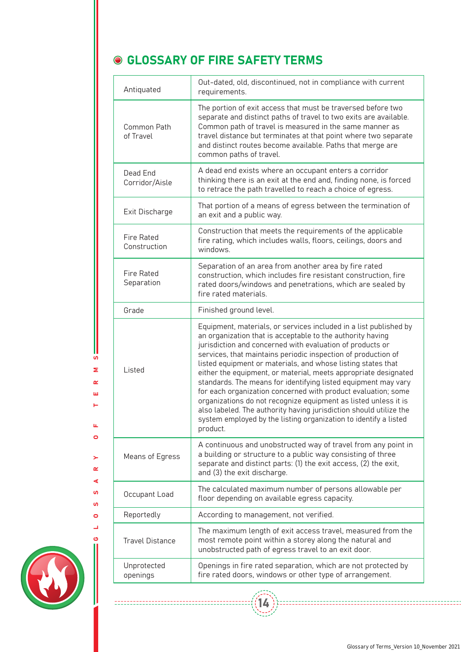## **GLOSSARY OF FIRE SAFETY TERMS**

| Out-dated, old, discontinued, not in compliance with current<br>requirements.                                                                                                                                                                                                                                                                                                                                                                                                                                                                                                                                                                                                                                                                                |
|--------------------------------------------------------------------------------------------------------------------------------------------------------------------------------------------------------------------------------------------------------------------------------------------------------------------------------------------------------------------------------------------------------------------------------------------------------------------------------------------------------------------------------------------------------------------------------------------------------------------------------------------------------------------------------------------------------------------------------------------------------------|
| The portion of exit access that must be traversed before two<br>separate and distinct paths of travel to two exits are available.<br>Common path of travel is measured in the same manner as<br>travel distance but terminates at that point where two separate<br>and distinct routes become available. Paths that merge are<br>common paths of travel.                                                                                                                                                                                                                                                                                                                                                                                                     |
| A dead end exists where an occupant enters a corridor<br>thinking there is an exit at the end and, finding none, is forced<br>to retrace the path travelled to reach a choice of egress.                                                                                                                                                                                                                                                                                                                                                                                                                                                                                                                                                                     |
| That portion of a means of egress between the termination of<br>an exit and a public way.                                                                                                                                                                                                                                                                                                                                                                                                                                                                                                                                                                                                                                                                    |
| Construction that meets the requirements of the applicable<br>fire rating, which includes walls, floors, ceilings, doors and<br>windows.                                                                                                                                                                                                                                                                                                                                                                                                                                                                                                                                                                                                                     |
| Separation of an area from another area by fire rated<br>construction, which includes fire resistant construction, fire<br>rated doors/windows and penetrations, which are sealed by<br>fire rated materials.                                                                                                                                                                                                                                                                                                                                                                                                                                                                                                                                                |
| Finished ground level.                                                                                                                                                                                                                                                                                                                                                                                                                                                                                                                                                                                                                                                                                                                                       |
| Equipment, materials, or services included in a list published by<br>an organization that is acceptable to the authority having<br>jurisdiction and concerned with evaluation of products or<br>services, that maintains periodic inspection of production of<br>listed equipment or materials, and whose listing states that<br>either the equipment, or material, meets appropriate designated<br>standards. The means for identifying listed equipment may vary<br>for each organization concerned with product evaluation; some<br>organizations do not recognize equipment as listed unless it is<br>also labeled. The authority having jurisdiction should utilize the<br>system employed by the listing organization to identify a listed<br>product. |
| A continuous and unobstructed way of travel from any point in<br>a building or structure to a public way consisting of three<br>separate and distinct parts: (1) the exit access, (2) the exit,<br>and (3) the exit discharge.                                                                                                                                                                                                                                                                                                                                                                                                                                                                                                                               |
| The calculated maximum number of persons allowable per<br>floor depending on available egress capacity.                                                                                                                                                                                                                                                                                                                                                                                                                                                                                                                                                                                                                                                      |
| According to management, not verified.                                                                                                                                                                                                                                                                                                                                                                                                                                                                                                                                                                                                                                                                                                                       |
| The maximum length of exit access travel, measured from the<br>most remote point within a storey along the natural and<br>unobstructed path of egress travel to an exit door.                                                                                                                                                                                                                                                                                                                                                                                                                                                                                                                                                                                |
| Openings in fire rated separation, which are not protected by<br>fire rated doors, windows or other type of arrangement.                                                                                                                                                                                                                                                                                                                                                                                                                                                                                                                                                                                                                                     |
|                                                                                                                                                                                                                                                                                                                                                                                                                                                                                                                                                                                                                                                                                                                                                              |

14



GLOSSARY OF TERMS

 $\geq$  $\alpha$  $\blacktriangleleft$ **u**  $\mathbf{v}$  $\bullet$ پ

=====================

 $\mathbf{u}_i$  $\bullet$ 

**SV** Σ  $\alpha$  $\bar{\underline{\mathbf{u}}}$  $\vdash$